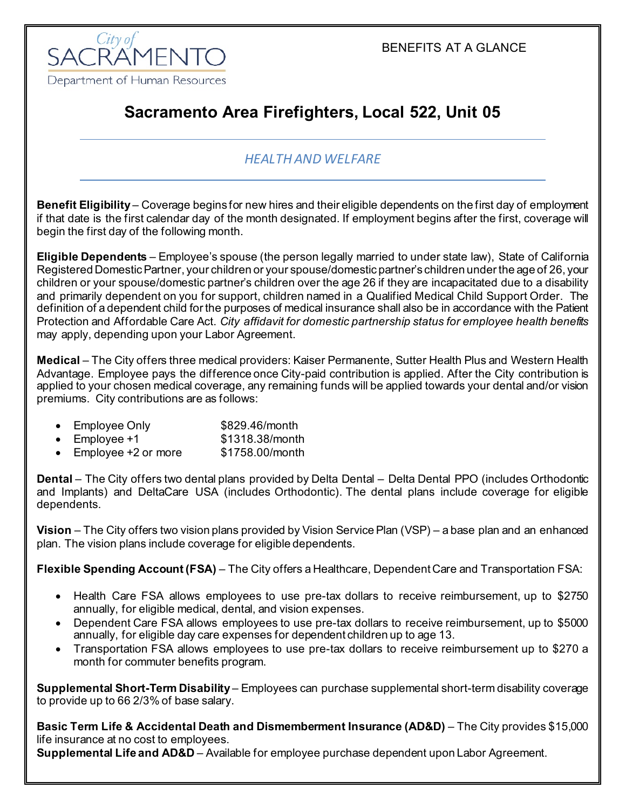BENEFITS AT A GLANCE



# **Sacramento Area Firefighters, Local 522, Unit 05**

# *HEALTH AND WELFARE*

**Benefit Eligibility** – Coverage begins for new hires and their eligible dependents on the first day of employment if that date is the first calendar day of the month designated. If employment begins after the first, coverage will begin the first day of the following month.

**Eligible Dependents** – Employee's spouse (the person legally married to under state law), State of California Registered Domestic Partner, your children or your spouse/domestic partner's children under the age of 26, your children or your spouse/domestic partner's children over the age 26 if they are incapacitated due to a disability and primarily dependent on you for support, children named in a Qualified Medical Child Support Order. The definition of a dependent child for the purposes of medical insurance shall also be in accordance with the Patient Protection and Affordable Care Act. *City affidavit for domestic partnership status for employee health benefits* may apply, depending upon your Labor Agreement.

**Medical** – The City offers three medical providers: Kaiser Permanente, Sutter Health Plus and Western Health Advantage. Employee pays the difference once City-paid contribution is applied. After the City contribution is applied to your chosen medical coverage, any remaining funds will be applied towards your dental and/or vision premiums. City contributions are as follows:

- Employee Only \$829.46/month
- Employee +1  $$1318.38/m$ onth
- Employee +2 or more \$1758.00/month

**Dental** – The City offers two dental plans provided by Delta Dental – Delta Dental PPO (includes Orthodontic and Implants) and DeltaCare USA (includes Orthodontic). The dental plans include coverage for eligible dependents.

**Vision** – The City offers two vision plans provided by Vision Service Plan (VSP) – a base plan and an enhanced plan. The vision plans include coverage for eligible dependents.

**Flexible Spending Account (FSA)** – The City offers a Healthcare, Dependent Care and Transportation FSA:

- Health Care FSA allows employees to use pre-tax dollars to receive reimbursement, up to \$2750 annually, for eligible medical, dental, and vision expenses.
- Dependent Care FSA allows employees to use pre-tax dollars to receive reimbursement, up to \$5000 annually, for eligible day care expenses for dependent children up to age 13.
- Transportation FSA allows employees to use pre-tax dollars to receive reimbursement up to \$270 a month for commuter benefits program.

**Supplemental Short-Term Disability** – Employees can purchase supplemental short-term disability coverage to provide up to 66 2/3% of base salary.

**Basic Term Life & Accidental Death and Dismemberment Insurance (AD&D)** – The City provides \$15,000 life insurance at no cost to employees.

**Supplemental Life and AD&D** – Available for employee purchase dependent upon Labor Agreement.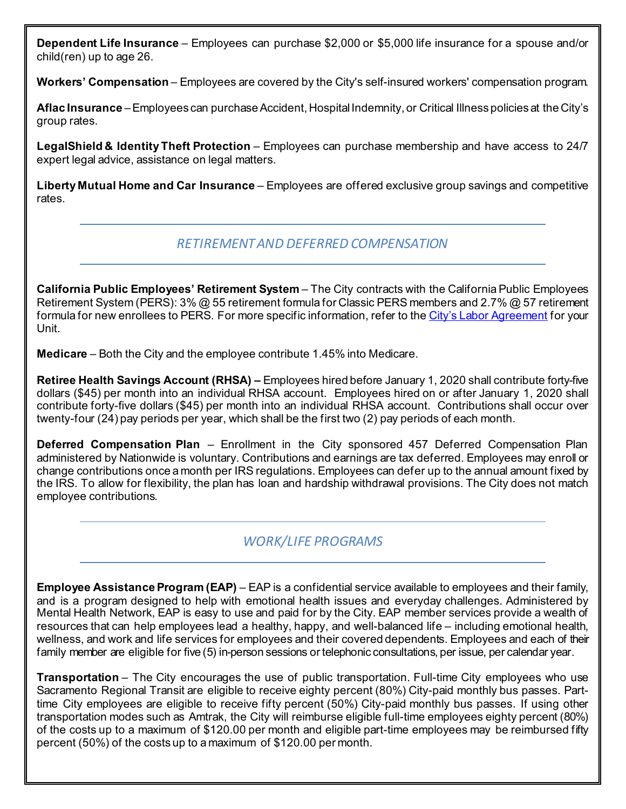**Dependent Life Insurance** – Employees can purchase \$2,000 or \$5,000 life insurance for a spouse and/or child(ren) up to age 26.

**Workers' Compensation** – Employees are covered by the City's self-insured workers' compensation program.

**Aflac Insurance** –Employees can purchase Accident, Hospital Indemnity, or Critical Illness policies at the City's group rates.

**LegalShield & Identity Theft Protection** – Employees can purchase membership and have access to 24/7 expert legal advice, assistance on legal matters.

**Liberty Mutual Home and Car Insurance** – Employees are offered exclusive group savings and competitive rates.

## *RETIREMENT AND DEFERRED COMPENSATION*

**California Public Employees' Retirement System** – The City contracts with the California Public Employees Retirement System (PERS): 3% @ 55 retirement formula for Classic PERS members and 2.7% @ 57 retirement formula for new enrollees to PERS. For more specific information, refer to th[e City's Labor Agreement](http://www.cityofsacramento.org/HR/Divisions/Labor-Relations/Labor-Agreements) for your Unit.

**Medicare** – Both the City and the employee contribute 1.45% into Medicare.

**Retiree Health Savings Account (RHSA) –** Employees hired before January 1, 2020 shall contribute forty-five dollars (\$45) per month into an individual RHSA account. Employees hired on or after January 1, 2020 shall contribute forty-five dollars (\$45) per month into an individual RHSA account. Contributions shall occur over twenty-four (24) pay periods per year, which shall be the first two (2) pay periods of each month.

**Deferred Compensation Plan** – Enrollment in the City sponsored 457 Deferred Compensation Plan administered by Nationwide is voluntary. Contributions and earnings are tax deferred. Employees may enroll or change contributions once a month per IRS regulations. Employees can defer up to the annual amount fixed by the IRS. To allow for flexibility, the plan has loan and hardship withdrawal provisions. The City does not match employee contributions.

## *WORK/LIFE PROGRAMS*

**Employee Assistance Program (EAP)** – EAP is a confidential service available to employees and their family, and is a program designed to help with emotional health issues and everyday challenges. Administered by Mental Health Network, EAP is easy to use and paid for by the City. EAP member services provide a wealth of resources that can help employees lead a healthy, happy, and well-balanced life – including emotional health, wellness, and work and life services for employees and their covered dependents. Employees and each of their family member are eligible for five (5) in-person sessions or telephonic consultations, per issue, per calendar year.

**Transportation** – The City encourages the use of public transportation. Full-time City employees who use Sacramento Regional Transit are eligible to receive eighty percent (80%) City-paid monthly bus passes. Parttime City employees are eligible to receive fifty percent (50%) City-paid monthly bus passes. If using other transportation modes such as Amtrak, the City will reimburse eligible full-time employees eighty percent (80%) of the costs up to a maximum of \$120.00 per month and eligible part-time employees may be reimbursed fifty percent (50%) of the costs up to a maximum of \$120.00 per month.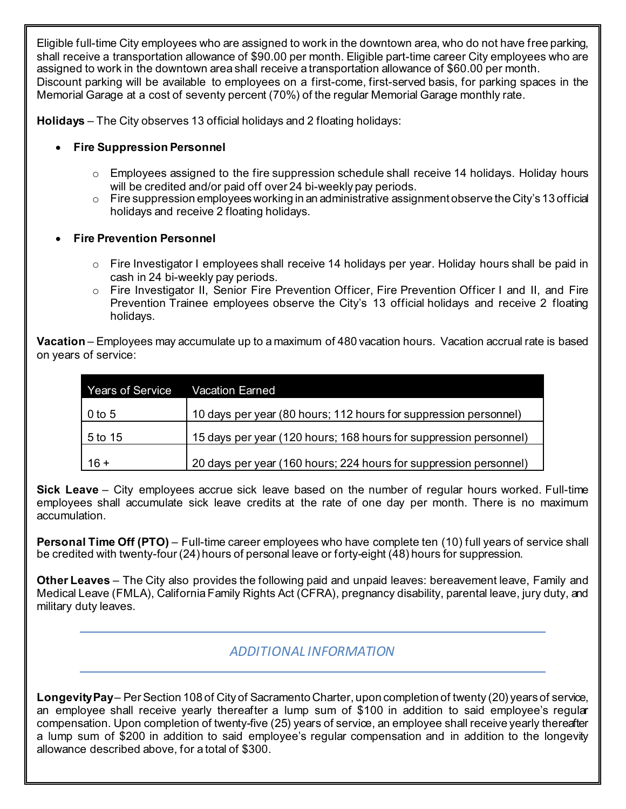Eligible full-time City employees who are assigned to work in the downtown area, who do not have free parking, shall receive a transportation allowance of \$90.00 per month. Eligible part-time career City employees who are assigned to work in the downtown area shall receive a transportation allowance of \$60.00 per month. Discount parking will be available to employees on a first-come, first-served basis, for parking spaces in the Memorial Garage at a cost of seventy percent (70%) of the regular Memorial Garage monthly rate.

**Holidays** – The City observes 13 official holidays and 2 floating holidays:

### • **Fire Suppression Personnel**

- $\circ$  Employees assigned to the fire suppression schedule shall receive 14 holidays. Holiday hours will be credited and/or paid off over 24 bi-weekly pay periods.
- $\circ$  Fire suppression employees working in an administrative assignment observe the City's 13 official holidays and receive 2 floating holidays.

#### • **Fire Prevention Personnel**

- $\circ$  Fire Investigator I employees shall receive 14 holidays per year. Holiday hours shall be paid in cash in 24 bi-weekly pay periods.
- o Fire Investigator II, Senior Fire Prevention Officer, Fire Prevention Officer I and II, and Fire Prevention Trainee employees observe the City's 13 official holidays and receive 2 floating holidays.

**Vacation** – Employees may accumulate up to a maximum of 480 vacation hours. Vacation accrual rate is based on years of service:

| <b>Years of Service</b> | <b>Vacation Earned</b>                                            |
|-------------------------|-------------------------------------------------------------------|
| $0$ to 5                | 10 days per year (80 hours; 112 hours for suppression personnel)  |
| 5 to 15                 | 15 days per year (120 hours; 168 hours for suppression personnel) |
| $16 +$                  | 20 days per year (160 hours; 224 hours for suppression personnel) |

**Sick Leave** – City employees accrue sick leave based on the number of regular hours worked. Full-time employees shall accumulate sick leave credits at the rate of one day per month. There is no maximum accumulation.

**Personal Time Off (PTO)** – Full-time career employees who have complete ten (10) full years of service shall be credited with twenty-four (24) hours of personal leave or forty-eight (48) hours for suppression.

**Other Leaves** – The City also provides the following paid and unpaid leaves: bereavement leave, Family and Medical Leave (FMLA), California Family Rights Act (CFRA), pregnancy disability, parental leave, jury duty, and military duty leaves.

*ADDITIONAL INFORMATION*

**Longevity Pay**– Per Section 108 of City of Sacramento Charter, upon completion of twenty (20) years of service, an employee shall receive yearly thereafter a lump sum of \$100 in addition to said employee's regular compensation. Upon completion of twenty-five (25) years of service, an employee shall receive yearly thereafter a lump sum of \$200 in addition to said employee's regular compensation and in addition to the longevity allowance described above, for a total of \$300.